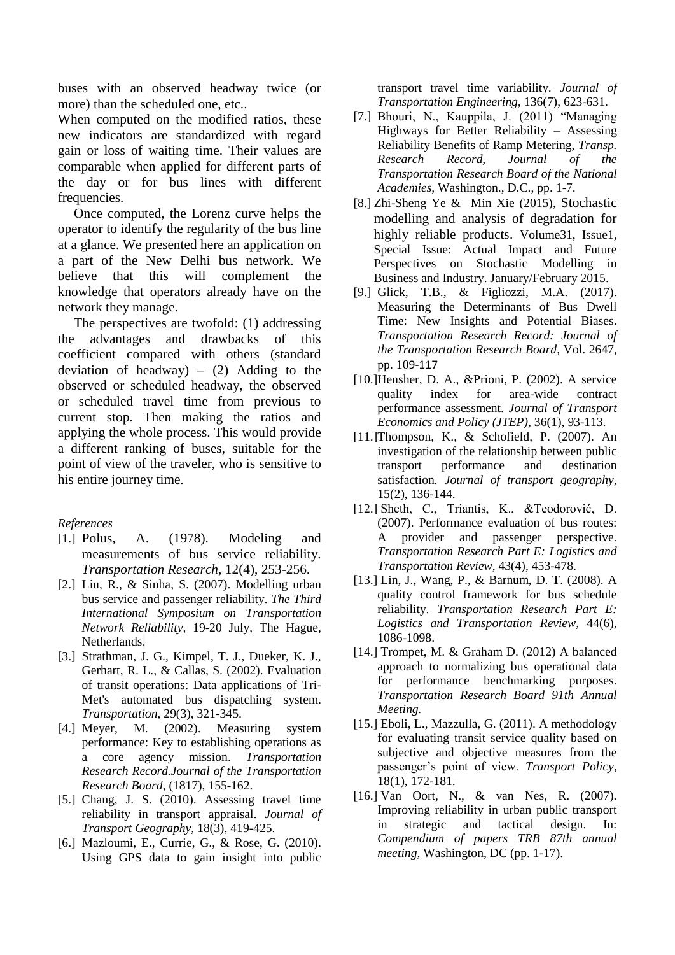buses with an observed headway twice (or more) than the scheduled one, etc..

When computed on the modified ratios, these new indicators are standardized with regard gain or loss of waiting time. Their values are comparable when applied for different parts of the day or for bus lines with different frequencies.

Once computed, the Lorenz curve helps the operator to identify the regularity of the bus line at a glance. We presented here an application on a part of the New Delhi bus network. We believe that this will complement the knowledge that operators already have on the network they manage.

The perspectives are twofold: (1) addressing the advantages and drawbacks of this coefficient compared with others (standard deviation of headway) –  $(2)$  Adding to the observed or scheduled headway, the observed or scheduled travel time from previous to current stop. Then making the ratios and applying the whole process. This would provide a different ranking of buses, suitable for the point of view of the traveler, who is sensitive to his entire journey time.

## *References*

- [1.] Polus, A. (1978). Modeling and measurements of bus service reliability. *Transportation Research,* 12(4), 253-256.
- [2.] Liu, R., & Sinha, S. (2007). Modelling urban bus service and passenger reliability. *The Third International Symposium on Transportation Network Reliability,* 19-20 July, The Hague, Netherlands.
- [3.] Strathman, J. G., Kimpel, T. J., Dueker, K. J., Gerhart, R. L., & Callas, S. (2002). Evaluation of transit operations: Data applications of Tri-Met's automated bus dispatching system. *Transportation*, 29(3), 321-345.
- [4.] Meyer, M. (2002). Measuring system performance: Key to establishing operations as a core agency mission. *Transportation Research Record.Journal of the Transportation Research Board,* (1817), 155-162.
- [5.] Chang, J. S. (2010). Assessing travel time reliability in transport appraisal. *Journal of Transport Geography,* 18(3), 419-425.
- [6.] Mazloumi, E., Currie, G., & Rose, G. (2010). Using GPS data to gain insight into public

transport travel time variability*. Journal of Transportation Engineering,* 136(7), 623-631.

- [7.] Bhouri, N., Kauppila, J. (2011) "Managing Highways for Better Reliability – Assessing Reliability Benefits of Ramp Metering, *Transp. Research Record, Journal of the Transportation Research Board of the National Academies,* Washington., D.C., pp. 1-7.
- [8.] Zhi-Sheng Ye & Min Xie (2015), Stochastic modelling and analysis of degradation for highly reliable products. Volume31, Issue1, Special Issue: Actual Impact and Future Perspectives on Stochastic Modelling in Business and Industry. January/February 2015.
- [9.] Glick, T.B., & Figliozzi, M.A. (2017). Measuring the Determinants of Bus Dwell Time: New Insights and Potential Biases. *Transportation Research Record: Journal of the Transportation Research Board,* Vol. 2647, pp. 109-117
- [10.]Hensher, D. A., &Prioni, P. (2002). A service quality index for area-wide contract performance assessment. *Journal of Transport Economics and Policy (JTEP)*, 36(1), 93-113.
- [11.]Thompson, K., & Schofield, P. (2007). An investigation of the relationship between public transport performance and destination satisfaction. *Journal of transport geography*, 15(2), 136-144.
- [12.] Sheth, C., Triantis, K., &Teodorović, D. (2007). Performance evaluation of bus routes: A provider and passenger perspective. *Transportation Research Part E: Logistics and Transportation Review*, 43(4), 453-478.
- [13.] Lin, J., Wang, P., & Barnum, D. T. (2008). A quality control framework for bus schedule reliability. *Transportation Research Part E: Logistics and Transportation Review,* 44(6), 1086-1098.
- [14.] Trompet, M. & Graham D. (2012) A balanced approach to normalizing bus operational data for performance benchmarking purposes. *Transportation Research Board 91th Annual Meeting.*
- [15.] Eboli, L., Mazzulla, G. (2011). A methodology for evaluating transit service quality based on subjective and objective measures from the passenger's point of view. *Transport Policy*, 18(1), 172-181.
- [16.] Van Oort, N., & van Nes, R. (2007). Improving reliability in urban public transport in strategic and tactical design. In: *Compendium of papers TRB 87th annual meeting,* Washington, DC (pp. 1-17).